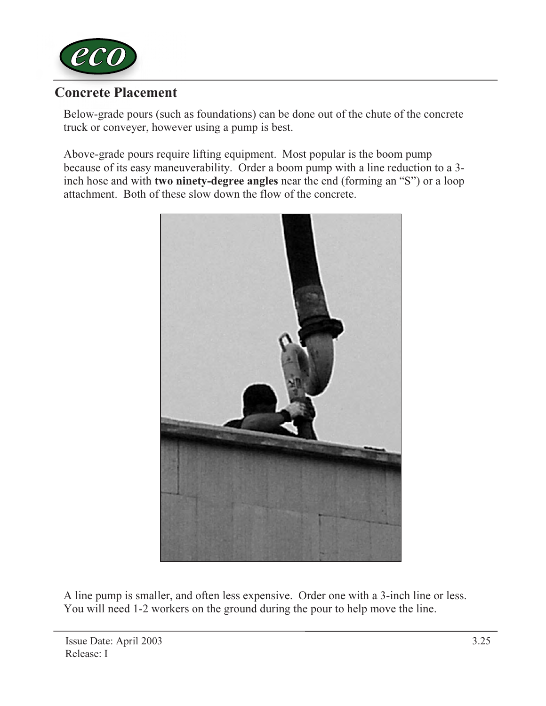

## Concrete Placement

Below-grade pours (such as foundations) can be done out of the chute of the concrete truck or conveyer, however using a pump is best.

Above-grade pours require lifting equipment. Most popular is the boom pump because of its easy maneuverability. Order a boom pump with a line reduction to a 3 inch hose and with two ninety-degree angles near the end (forming an "S") or a loop attachment. Both of these slow down the flow of the concrete.



A line pump is smaller, and often less expensive. Order one with a 3-inch line or less. You will need 1-2 workers on the ground during the pour to help move the line.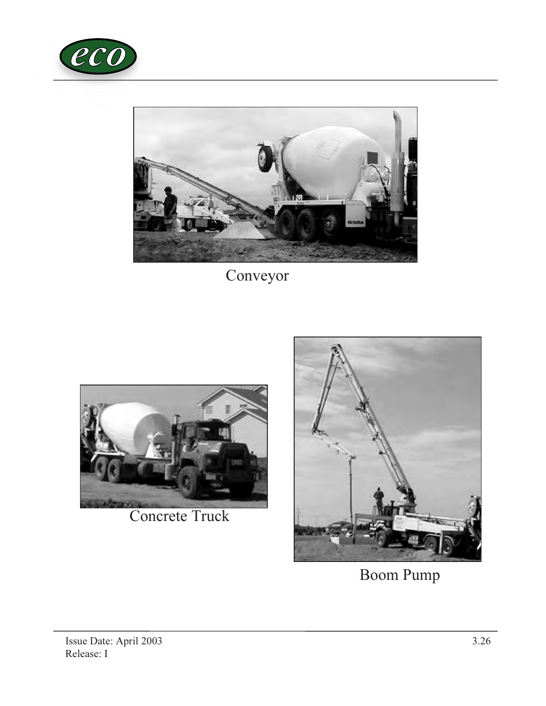



Conveyor



Concrete Truck



Boom Pump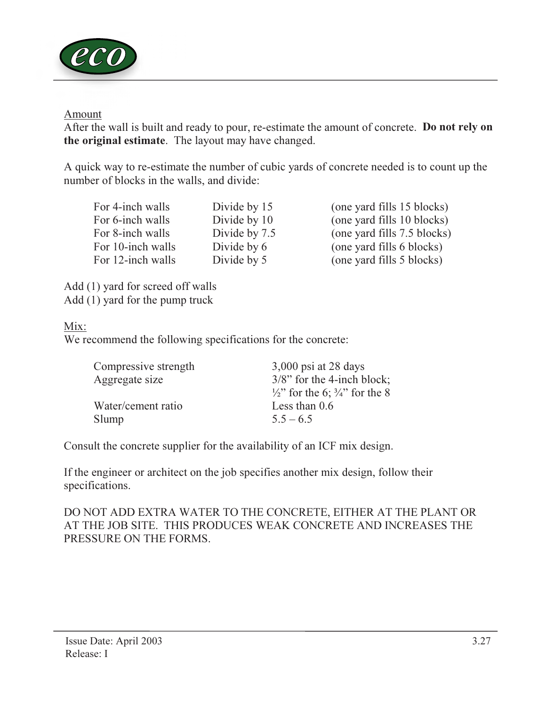

## Amount

After the wall is built and ready to pour, re-estimate the amount of concrete. Do not rely on the original estimate. The layout may have changed.

A quick way to re-estimate the number of cubic yards of concrete needed is to count up the number of blocks in the walls, and divide:

| For 4-inch walls  | Divide by 15  |
|-------------------|---------------|
| For 6-inch walls  | Divide by 10  |
| For 8-inch walls  | Divide by 7.5 |
| For 10-inch walls | Divide by 6   |
| For 12-inch walls | Divide by 5   |

(one yard fills 15 blocks) (one yard fills 10 blocks) (one yard fills 7.5 blocks) (one yard fills 6 blocks)  $(one \text{ yard fills } 5 \text{ blocks})$ 

Add (1) yard for screed off walls Add (1) yard for the pump truck

## Mix:

We recommend the following specifications for the concrete:

| Compressive strength | $3,000$ psi at 28 days                           |
|----------------------|--------------------------------------------------|
| Aggregate size       | $3/8$ " for the 4-inch block;                    |
|                      | $\frac{1}{2}$ for the 6; $\frac{3}{4}$ for the 8 |
| Water/cement ratio   | Less than $0.6$                                  |
| Slump                | $5.5 - 6.5$                                      |

Consult the concrete supplier for the availability of an ICF mix design.

If the engineer or architect on the job specifies another mix design, follow their specifications.

DO NOT ADD EXTRA WATER TO THE CONCRETE, EITHER AT THE PLANT OR AT THE JOB SITE. THIS PRODUCES WEAK CONCRETE AND INCREASES THE PRESSURE ON THE FORMS.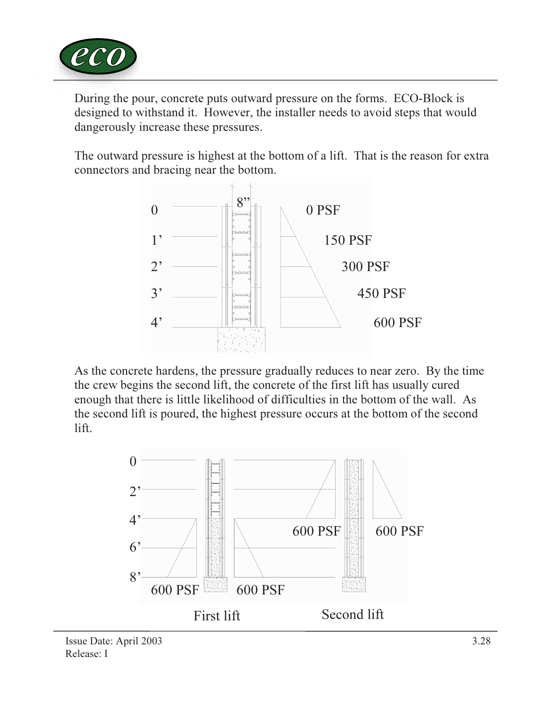

During the pour, concrete puts outward pressure on the forms. ECO-Block is designed to withstand it. However, the installer needs to avoid steps that would dangerously increase these pressures.

The outward pressure is highest at the bottom of a lift. That is the reason for extra connectors and bracing near the bottom.



As the concrete hardens, the pressure gradually reduces to near zero. By the time the crew begins the second lift, the concrete of the first lift has usually cured enough that there is little likelihood of difficulties in the bottom of the wall. As the second lift is poured, the highest pressure occurs at the bottom of the second lift.

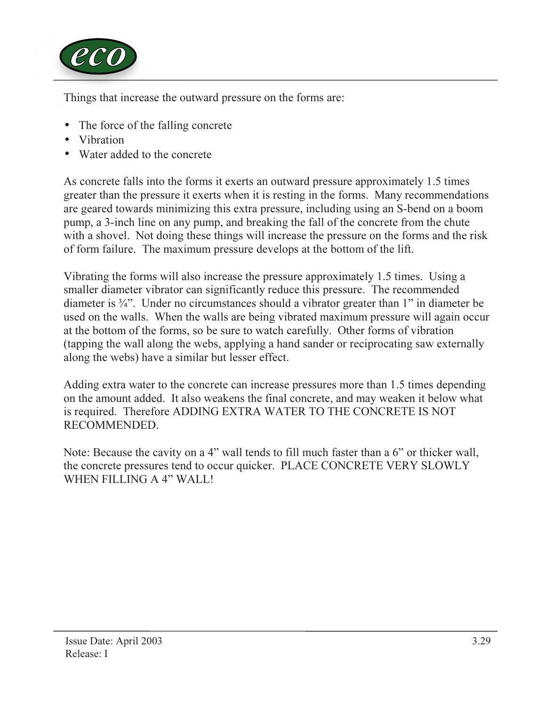

Things that increase the outward pressure on the forms are:

- The force of the falling concrete
- Vibration
- Water added to the concrete

As concrete falls into the forms it exerts an outward pressure approximately 1.5 times greater than the pressure it exerts when it is resting in the forms. Many recommendations are geared towards minimizing this extra pressure, including using an S-bend on a boom pump, a 3-inch line on any pump, and breaking the fall of the concrete from the chute with a shovel. Not doing these things will increase the pressure on the forms and the risk of form failure. The maximum pressure develops at the bottom of the lift.

Vibrating the forms will also increase the pressure approximately 1.5 times. Using a smaller diameter vibrator can significantly reduce this pressure. The recommended diameter is ¾". Under no circumstances should a vibrator greater than 1" in diameter be used on the walls. When the walls are being vibrated maximum pressure will again occur at the bottom of the forms, so be sure to watch carefully. Other forms of vibration (tapping the wall along the webs, applying a hand sander or reciprocating saw externally along the webs) have a similar but lesser effect.

Adding extra water to the concrete can increase pressures more than 1.5 times depending on the amount added. It also weakens the final concrete, and may weaken it below what is required. Therefore ADDING EXTRA WATER TO THE CONCRETE IS NOT RECOMMENDED.

Note: Because the cavity on a 4" wall tends to fill much faster than a 6" or thicker wall, the concrete pressures tend to occur quicker. PLACE CONCRETE VERY SLOWLY WHEN FILLING A 4" WALL!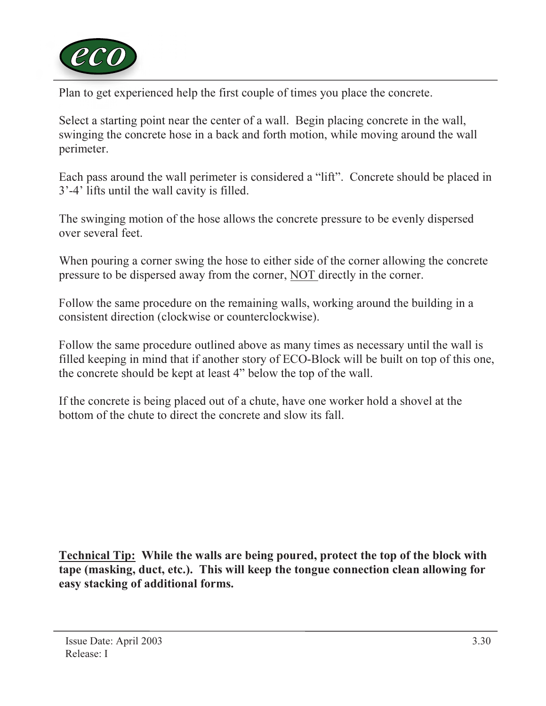

Plan to get experienced help the first couple of times you place the concrete.

Select a starting point near the center of a wall. Begin placing concrete in the wall, swinging the concrete hose in a back and forth motion, while moving around the wall perimeter.

Each pass around the wall perimeter is considered a "lift". Concrete should be placed in 3'-4' lifts until the wall cavity is filled.

The swinging motion of the hose allows the concrete pressure to be evenly dispersed over several feet.

When pouring a corner swing the hose to either side of the corner allowing the concrete pressure to be dispersed away from the corner, NOT directly in the corner.

Follow the same procedure on the remaining walls, working around the building in a consistent direction (clockwise or counterclockwise).

Follow the same procedure outlined above as many times as necessary until the wall is filled keeping in mind that if another story of ECO-Block will be built on top of this one, the concrete should be kept at least 4" below the top of the wall.

If the concrete is being placed out of a chute, have one worker hold a shovel at the bottom of the chute to direct the concrete and slow its fall.

Technical Tip: While the walls are being poured, protect the top of the block with tape (masking, duct, etc.). This will keep the tongue connection clean allowing for easy stacking of additional forms.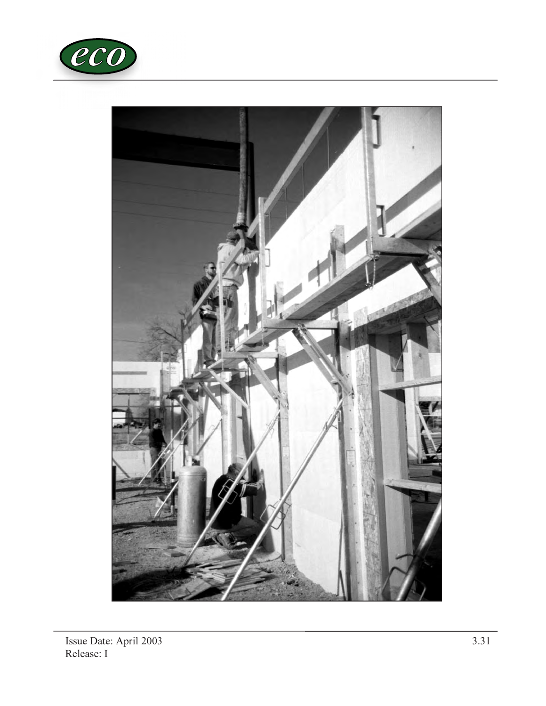

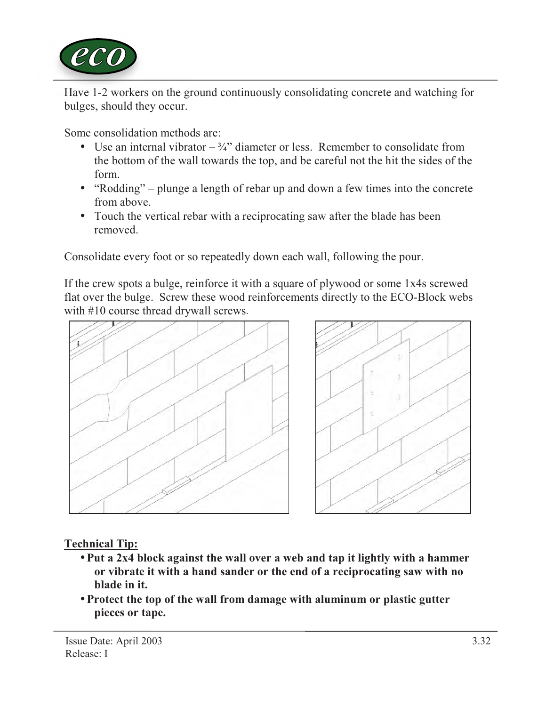

Have 1-2 workers on the ground continuously consolidating concrete and watching for bulges, should they occur.

Some consolidation methods are:

- Use an internal vibrator  $-\frac{3}{4}$ " diameter or less. Remember to consolidate from the bottom of the wall towards the top, and be careful not the hit the sides of the form.
- "Rodding" plunge a length of rebar up and down a few times into the concrete from above.
- Touch the vertical rebar with a reciprocating saw after the blade has been removed.

Consolidate every foot or so repeatedly down each wall, following the pour.

If the crew spots a bulge, reinforce it with a square of plywood or some 1x4s screwed flat over the bulge. Screw these wood reinforcements directly to the ECO-Block webs with #10 course thread drywall screws.



## Technical Tip:

- Put a 2x4 block against the wall over a web and tap it lightly with a hammer or vibrate it with a hand sander or the end of a reciprocating saw with no blade in it.
- Protect the top of the wall from damage with aluminum or plastic gutter pieces or tape.